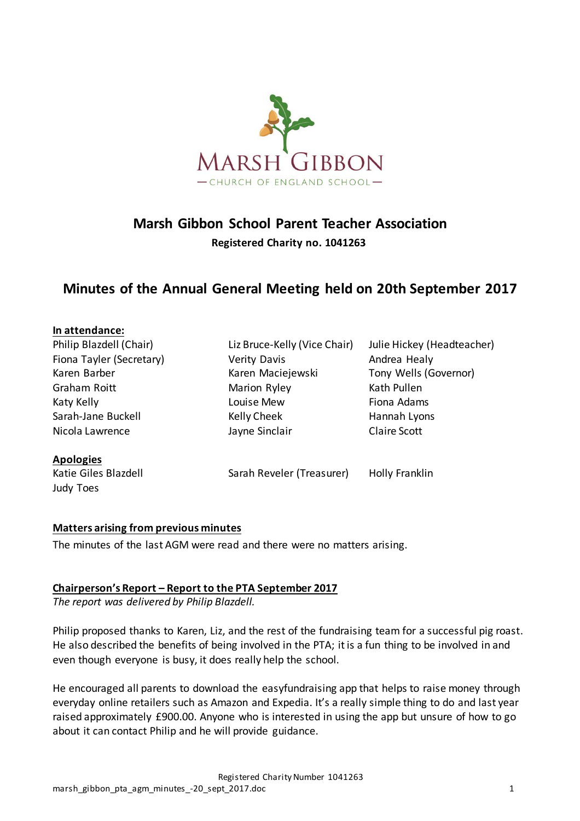

# **Marsh Gibbon School Parent Teacher Association**

**Registered Charity no. 1041263**

# **Minutes of the Annual General Meeting held on 20th September 2017**

| In attendance:           |                              |                            |
|--------------------------|------------------------------|----------------------------|
| Philip Blazdell (Chair)  | Liz Bruce-Kelly (Vice Chair) | Julie Hickey (Headteacher) |
| Fiona Tayler (Secretary) | <b>Verity Davis</b>          | Andrea Healy               |
| Karen Barber             | Karen Maciejewski            | Tony Wells (Governor)      |
| Graham Roitt             | Marion Ryley                 | Kath Pullen                |
| Katy Kelly               | Louise Mew                   | Fiona Adams                |
| Sarah-Jane Buckell       | Kelly Cheek                  | Hannah Lyons               |
| Nicola Lawrence          | Jayne Sinclair               | Claire Scott               |
| <b>Apologies</b>         |                              |                            |
| Katie Giles Blazdell     | Sarah Reveler (Treasurer)    | <b>Holly Franklin</b>      |
| Judy Toes                |                              |                            |

#### **Matters arising from previous minutes**

The minutes of the last AGM were read and there were no matters arising.

#### **Chairperson's Report – Report to the PTA September 2017**

*The report was delivered by Philip Blazdell.* 

Philip proposed thanks to Karen, Liz, and the rest of the fundraising team for a successful pig roast. He also described the benefits of being involved in the PTA; it is a fun thing to be involved in and even though everyone is busy, it does really help the school.

He encouraged all parents to download the easyfundraising app that helps to raise money through everyday online retailers such as Amazon and Expedia. It's a really simple thing to do and last year raised approximately £900.00. Anyone who is interested in using the app but unsure of how to go about it can contact Philip and he will provide guidance.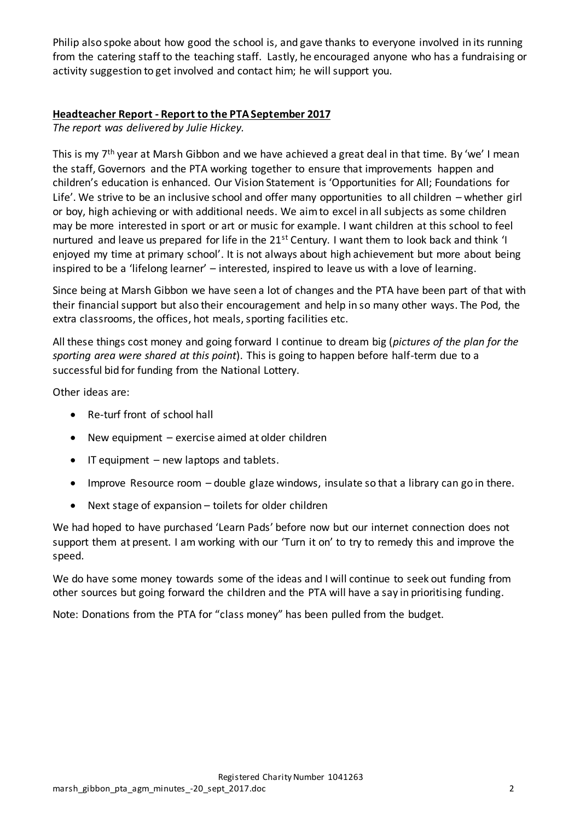Philip also spoke about how good the school is, and gave thanks to everyone involved in its running from the catering staff to the teaching staff. Lastly, he encouraged anyone who has a fundraising or activity suggestion to get involved and contact him; he will support you.

### **Headteacher Report - Report to the PTA September 2017**

*The report was delivered by Julie Hickey.* 

This is my 7<sup>th</sup> year at Marsh Gibbon and we have achieved a great deal in that time. By 'we' I mean the staff, Governors and the PTA working together to ensure that improvements happen and children's education is enhanced. Our Vision Statement is 'Opportunities for All; Foundations for Life'. We strive to be an inclusive school and offer many opportunities to all children – whether girl or boy, high achieving or with additional needs. We aim to excel in all subjects as some children may be more interested in sport or art or music for example. I want children at this school to feel nurtured and leave us prepared for life in the 21<sup>st</sup> Century. I want them to look back and think 'I enjoyed my time at primary school'. It is not always about high achievement but more about being inspired to be a 'lifelong learner' – interested, inspired to leave us with a love of learning.

Since being at Marsh Gibbon we have seen a lot of changes and the PTA have been part of that with their financial support but also their encouragement and help in so many other ways. The Pod, the extra classrooms, the offices, hot meals, sporting facilities etc.

All these things cost money and going forward I continue to dream big (*pictures of the plan for the sporting area were shared at this point*). This is going to happen before half-term due to a successful bid for funding from the National Lottery.

Other ideas are:

- Re-turf front of school hall
- New equipment exercise aimed at older children
- $\bullet$  IT equipment new laptops and tablets.
- Improve Resource room double glaze windows, insulate so that a library can go in there.
- Next stage of expansion toilets for older children

We had hoped to have purchased 'Learn Pads' before now but our internet connection does not support them at present. I am working with our 'Turn it on' to try to remedy this and improve the speed.

We do have some money towards some of the ideas and I will continue to seek out funding from other sources but going forward the children and the PTA will have a say in prioritising funding.

Note: Donations from the PTA for "class money" has been pulled from the budget.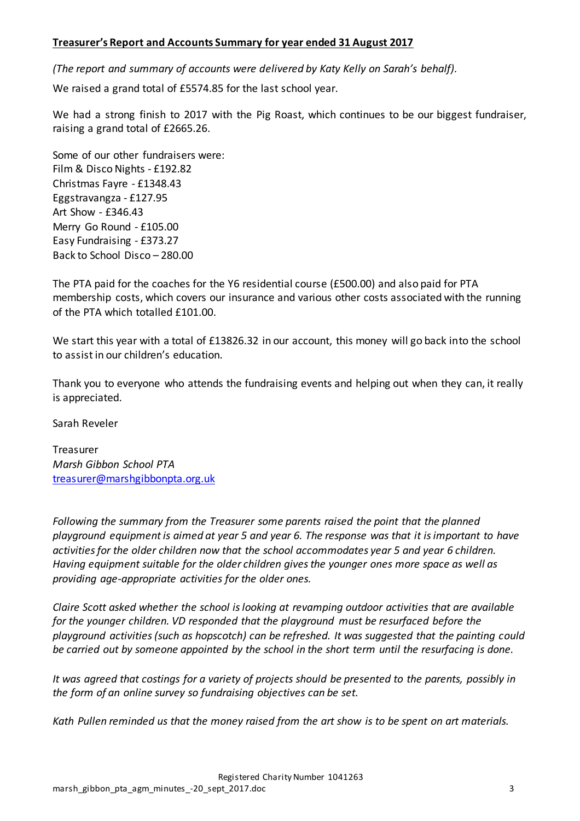#### **Treasurer's Report and Accounts Summary for year ended 31 August 2017**

*(The report and summary of accounts were delivered by Katy Kelly on Sarah's behalf).* 

We raised a grand total of £5574.85 for the last school year.

We had a strong finish to 2017 with the Pig Roast, which continues to be our biggest fundraiser, raising a grand total of £2665.26.

Some of our other fundraisers were: Film & Disco Nights - £192.82 Christmas Fayre - £1348.43 Eggstravangza - £127.95 Art Show - £346.43 Merry Go Round - £105.00 Easy Fundraising - £373.27 Back to School Disco – 280.00

The PTA paid for the coaches for the Y6 residential course (£500.00) and also paid for PTA membership costs, which covers our insurance and various other costs associated with the running of the PTA which totalled £101.00.

We start this year with a total of £13826.32 in our account, this money will go back into the school to assist in our children's education.

Thank you to everyone who attends the fundraising events and helping out when they can, it really is appreciated.

Sarah Reveler

Treasurer *Marsh Gibbon School PTA* [treasurer@marshgibbonpta.org.uk](mailto:treasurer@marshgibbonpta.org.uk)

*Following the summary from the Treasurer some parents raised the point that the planned playground equipment is aimed at year 5 and year 6. The response was that it is important to have activities for the older children now that the school accommodates year 5 and year 6 children. Having equipment suitable for the older children gives the younger ones more space as well as providing age-appropriate activities for the older ones.* 

*Claire Scott asked whether the school is looking at revamping outdoor activities that are available for the younger children. VD responded that the playground must be resurfaced before the playground activities (such as hopscotch) can be refreshed. It was suggested that the painting could be carried out by someone appointed by the school in the short term until the resurfacing is done.* 

*It was agreed that costings for a variety of projects should be presented to the parents, possibly in the form of an online survey so fundraising objectives can be set.* 

*Kath Pullen reminded us that the money raised from the art show is to be spent on art materials.*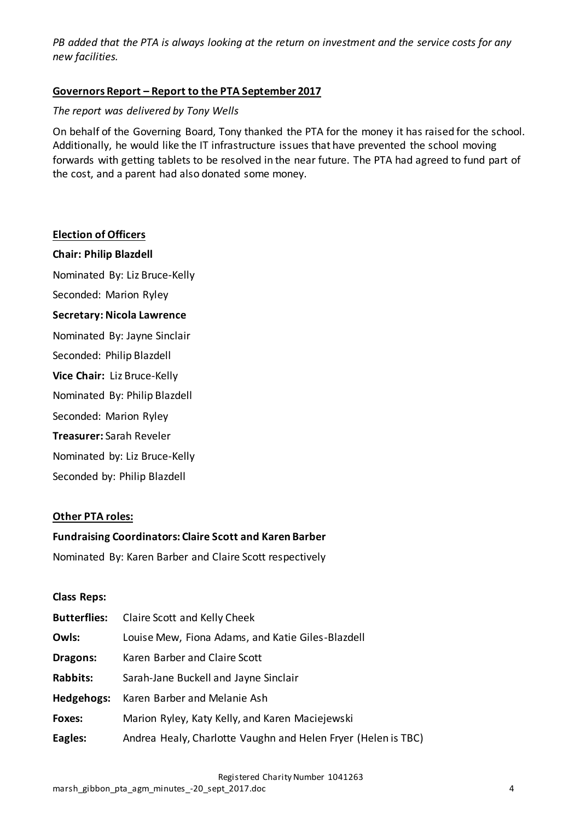*PB added that the PTA is always looking at the return on investment and the service costs for any new facilities.*

# **Governors Report – Report to the PTA September 2017**

#### *The report was delivered by Tony Wells*

On behalf of the Governing Board, Tony thanked the PTA for the money it has raised for the school. Additionally, he would like the IT infrastructure issues that have prevented the school moving forwards with getting tablets to be resolved in the near future. The PTA had agreed to fund part of the cost, and a parent had also donated some money.

#### **Election of Officers**

**Chair: Philip Blazdell**

Nominated By: Liz Bruce-Kelly

Seconded: Marion Ryley

#### **Secretary: Nicola Lawrence**

Nominated By: Jayne Sinclair

Seconded: Philip Blazdell

**Vice Chair:** Liz Bruce-Kelly

Nominated By: Philip Blazdell

Seconded: Marion Ryley

**Treasurer:** Sarah Reveler

Nominated by: Liz Bruce-Kelly

Seconded by: Philip Blazdell

#### **Other PTA roles:**

#### **Fundraising Coordinators: Claire Scott and Karen Barber**

Nominated By: Karen Barber and Claire Scott respectively

#### **Class Reps:**

| <b>Butterflies:</b> | Claire Scott and Kelly Cheek                                  |
|---------------------|---------------------------------------------------------------|
| Owls:               | Louise Mew, Fiona Adams, and Katie Giles-Blazdell             |
| Dragons:            | Karen Barber and Claire Scott                                 |
| <b>Rabbits:</b>     | Sarah-Jane Buckell and Jayne Sinclair                         |
| Hedgehogs:          | Karen Barber and Melanie Ash                                  |
| Foxes:              | Marion Ryley, Katy Kelly, and Karen Maciejewski               |
| Eagles:             | Andrea Healy, Charlotte Vaughn and Helen Fryer (Helen is TBC) |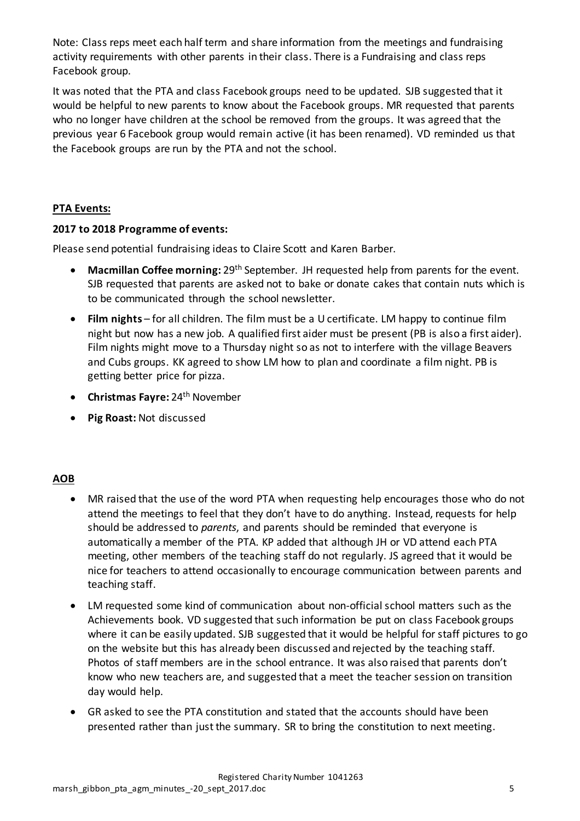Note: Class reps meet each half term and share information from the meetings and fundraising activity requirements with other parents in their class. There is a Fundraising and class reps Facebook group.

It was noted that the PTA and class Facebook groups need to be updated. SJB suggested that it would be helpful to new parents to know about the Facebook groups. MR requested that parents who no longer have children at the school be removed from the groups. It was agreed that the previous year 6 Facebook group would remain active (it has been renamed). VD reminded us that the Facebook groups are run by the PTA and not the school.

# **PTA Events:**

# **2017 to 2018 Programme of events:**

Please send potential fundraising ideas to Claire Scott and Karen Barber.

- **Macmillan Coffee morning:** 29th September. JH requested help from parents for the event. SJB requested that parents are asked not to bake or donate cakes that contain nuts which is to be communicated through the school newsletter.
- **Film nights** for all children. The film must be a U certificate. LM happy to continue film night but now has a new job. A qualified first aider must be present (PB is also a first aider). Film nights might move to a Thursday night so as not to interfere with the village Beavers and Cubs groups. KK agreed to show LM how to plan and coordinate a film night. PB is getting better price for pizza.
- **Christmas Fayre:** 24<sup>th</sup> November
- **Pig Roast:** Not discussed

# **AOB**

- MR raised that the use of the word PTA when requesting help encourages those who do not attend the meetings to feel that they don't have to do anything. Instead, requests for help should be addressed to *parents*, and parents should be reminded that everyone is automatically a member of the PTA. KP added that although JH or VD attend each PTA meeting, other members of the teaching staff do not regularly. JS agreed that it would be nice for teachers to attend occasionally to encourage communication between parents and teaching staff.
- LM requested some kind of communication about non-official school matters such as the Achievements book. VD suggested that such information be put on class Facebook groups where it can be easily updated. SJB suggested that it would be helpful for staff pictures to go on the website but this has already been discussed and rejected by the teaching staff. Photos of staff members are in the school entrance. It was also raised that parents don't know who new teachers are, and suggested that a meet the teacher session on transition day would help.
- GR asked to see the PTA constitution and stated that the accounts should have been presented rather than just the summary. SR to bring the constitution to next meeting.